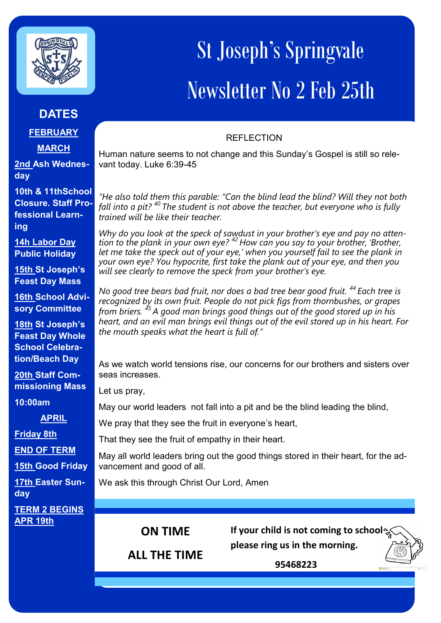

## **DATES**

**FEBRUARY**

**MARCH**

**2nd Ash Wednesday**

**10th & 11thSchool Closure. Staff Professional Learning**

**14h Labor Day Public Holiday**

**15th St Joseph's Feast Day Mass** 

**16th School Advisory Committee**

**18th St Joseph's Feast Day Whole School Celebration/Beach Day**

**20th Staff Commissioning Mass** 

**10:00am**

**APRIL** 

**Friday 8th**

**END OF TERM** 

**15th Good Friday**

**17th Easter Sunday**

**TERM 2 BEGINS APR 19th** 

## St Joseph's Springvale Newsletter No 2 Feb 25th

## **REFLECTION**

Human nature seems to not change and this Sunday's Gospel is still so relevant today. Luke 6:39-45

*"He also told them this parable: "Can the blind lead the blind? Will they not both fall into a pit? <sup>40</sup> The student is not above the teacher, but everyone who is fully trained will be like their teacher.*

*Why do you look at the speck of sawdust in your brother's eye and pay no attention to the plank in your own eye? <sup>42</sup> How can you say to your brother, 'Brother, let me take the speck out of your eye,' when you yourself fail to see the plank in your own eye? You hypocrite, first take the plank out of your eye, and then you will see clearly to remove the speck from your brother's eye.*

*No good tree bears bad fruit, nor does a bad tree bear good fruit. <sup>44</sup> Each tree is recognized by its own fruit. People do not pick figs from thornbushes, or grapes from briers. <sup>45</sup> A good man brings good things out of the good stored up in his heart, and an evil man brings evil things out of the evil stored up in his heart. For the mouth speaks what the heart is full of."*

As we watch world tensions rise, our concerns for our brothers and sisters over seas increases.

Let us pray,

May our world leaders not fall into a pit and be the blind leading the blind,

We pray that they see the fruit in everyone's heart,

That they see the fruit of empathy in their heart.

May all world leaders bring out the good things stored in their heart, for the advancement and good of all.

We ask this through Christ Our Lord, Amen

**ON TIME** 

**If your child is not coming to school please ring us in the morning.** 

**ALL THE TIME**

 **95468223**